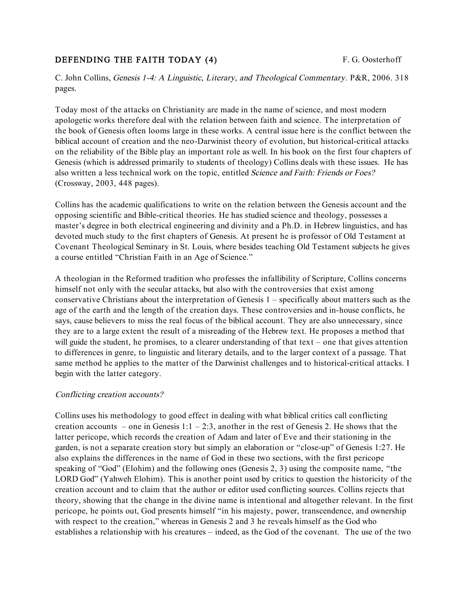# **DEFENDING THE FAITH TODAY (4)** F. G. Oosterhoff

C. John Collins, Genesis 1-4: <sup>A</sup> Linguistic, Literary, and Theological Commentary. P&R, 2006. 318 pages.

Today most of the attacks on Christianity are made in the name of science, and most modern apologetic works therefore deal with the relation between faith and science. The interpretation of the book of Genesis often looms large in these works. A central issue here is the conflict between the biblical account of creation and the neo-Darwinist theory of evolution, but historical-critical attacks on the reliability of the Bible play an important role as well. In his book on the first four chapters of Genesis (which is addressed primarily to students of theology) Collins deals with these issues. He has also written a less technical work on the topic, entitled Science and Faith: Friends or Foes? (Crossway, 2003, 448 pages).

Collins has the academic qualifications to write on the relation between the Genesis account and the opposing scientific and Bible-critical theories. He has studied science and theology, possesses a master's degree in both electrical engineering and divinity and a Ph.D. in Hebrew linguistics, and has devoted much study to the first chapters of Genesis. At present he is professor of Old Testament at Covenant Theological Seminary in St. Louis, where besides teaching Old Testament subjects he gives a course entitled "Christian Faith in an Age of Science."

A theologian in the Reformed tradition who professes the infallibility of Scripture, Collins concerns himself not only with the secular attacks, but also with the controversies that exist among conservative Christians about the interpretation of Genesis 1 – specifically about matters such as the age of the earth and the length of the creation days. These controversies and in-house conflicts, he says, cause believers to miss the real focus of the biblical account. They are also unnecessary, since they are to a large extent the result of a misreading of the Hebrew text. He proposes a method that will guide the student, he promises, to a clearer understanding of that text – one that gives attention to differences in genre, to linguistic and literary details, and to the larger context of a passage. That same method he applies to the matter of the Darwinist challenges and to historical-critical attacks. I begin with the latter category.

### Conflicting creation accounts?

Collins uses his methodology to good effect in dealing with what biblical critics call conflicting creation accounts – one in Genesis  $1:1 - 2:3$ , another in the rest of Genesis 2. He shows that the latter pericope, which records the creation of Adam and later of Eve and their stationing in the garden, is not a separate creation story but simply an elaboration or "close-up" of Genesis 1:27. He also explains the differences in the name of God in these two sections, with the first pericope speaking of "God" (Elohim) and the following ones (Genesis 2, 3) using the composite name, "the LORD God" (Yahweh Elohim). This is another point used by critics to question the historicity of the creation account and to claim that the author or editor used conflicting sources. Collins rejects that theory, showing that the change in the divine name is intentional and altogether relevant. In the first pericope, he points out, God presents himself "in his majesty, power, transcendence, and ownership with respect to the creation," whereas in Genesis 2 and 3 he reveals himself as the God who establishes a relationship with his creatures – indeed, as the God of the covenant. The use of the two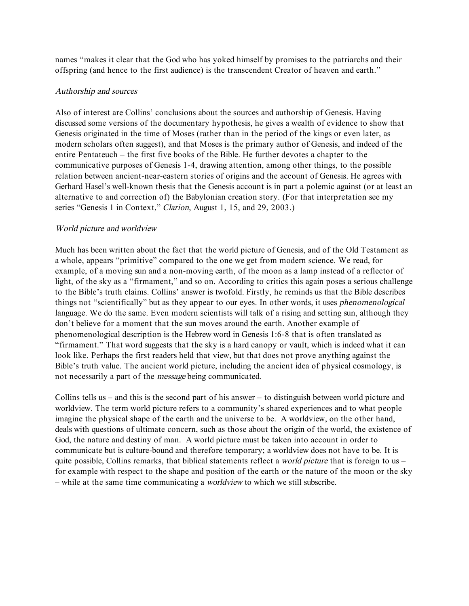names "makes it clear that the God who has yoked himself by promises to the patriarchs and their offspring (and hence to the first audience) is the transcendent Creator of heaven and earth."

## Authorship and sources

Also of interest are Collins' conclusions about the sources and authorship of Genesis. Having discussed some versions of the documentary hypothesis, he gives a wealth of evidence to show that Genesis originated in the time of Moses (rather than in the period of the kings or even later, as modern scholars often suggest), and that Moses is the primary author of Genesis, and indeed of the entire Pentateuch – the first five books of the Bible. He further devotes a chapter to the communicative purposes of Genesis 1-4, drawing attention, among other things, to the possible relation between ancient-near-eastern stories of origins and the account of Genesis. He agrees with Gerhard Hasel's well-known thesis that the Genesis account is in part a polemic against (or at least an alternative to and correction of) the Babylonian creation story. (For that interpretation see my series "Genesis 1 in Context," Clarion, August 1, 15, and 29, 2003.)

## World picture and worldview

Much has been written about the fact that the world picture of Genesis, and of the Old Testament as a whole, appears "primitive" compared to the one we get from modern science. We read, for example, of a moving sun and a non-moving earth, of the moon as a lamp instead of a reflector of light, of the sky as a "firmament," and so on. According to critics this again poses a serious challenge to the Bible's truth claims. Collins' answer is twofold. Firstly, he reminds us that the Bible describes things not "scientifically" but as they appear to our eyes. In other words, it uses phenomenological language. We do the same. Even modern scientists will talk of a rising and setting sun, although they don't believe for a moment that the sun moves around the earth. Another example of phenomenological description is the Hebrew word in Genesis 1:6-8 that is often translated as "firmament." That word suggests that the sky is a hard canopy or vault, which is indeed what it can look like. Perhaps the first readers held that view, but that does not prove anything against the Bible's truth value. The ancient world picture, including the ancient idea of physical cosmology, is not necessarily a part of the message being communicated.

Collins tells us – and this is the second part of his answer – to distinguish between world picture and worldview. The term world picture refers to a community's shared experiences and to what people imagine the physical shape of the earth and the universe to be. A worldview, on the other hand, deals with questions of ultimate concern, such as those about the origin of the world, the existence of God, the nature and destiny of man. A world picture must be taken into account in order to communicate but is culture-bound and therefore temporary; a worldview does not have to be. It is quite possible, Collins remarks, that biblical statements reflect a *world picture* that is foreign to us – for example with respect to the shape and position of the earth or the nature of the moon or the sky – while at the same time communicating a worldview to which we still subscribe.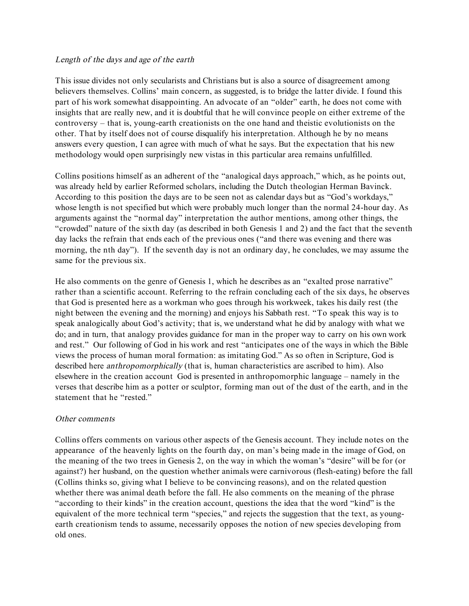### Length of the days and age of the earth

This issue divides not only secularists and Christians but is also a source of disagreement among believers themselves. Collins' main concern, as suggested, is to bridge the latter divide. I found this part of his work somewhat disappointing. An advocate of an "older" earth, he does not come with insights that are really new, and it is doubtful that he will convince people on either extreme of the controversy – that is, young-earth creationists on the one hand and theistic evolutionists on the other. That by itself does not of course disqualify his interpretation. Although he by no means answers every question, I can agree with much of what he says. But the expectation that his new methodology would open surprisingly new vistas in this particular area remains unfulfilled.

Collins positions himself as an adherent of the "analogical days approach," which, as he points out, was already held by earlier Reformed scholars, including the Dutch theologian Herman Bavinck. According to this position the days are to be seen not as calendar days but as "God's workdays," whose length is not specified but which were probably much longer than the normal 24-hour day. As arguments against the "normal day" interpretation the author mentions, among other things, the "crowded" nature of the sixth day (as described in both Genesis 1 and 2) and the fact that the seventh day lacks the refrain that ends each of the previous ones ("and there was evening and there was morning, the nth day"). If the seventh day is not an ordinary day, he concludes, we may assume the same for the previous six.

He also comments on the genre of Genesis 1, which he describes as an "exalted prose narrative" rather than a scientific account. Referring to the refrain concluding each of the six days, he observes that God is presented here as a workman who goes through his workweek, takes his daily rest (the night between the evening and the morning) and enjoys his Sabbath rest. "To speak this way is to speak analogically about God's activity; that is, we understand what he did by analogy with what we do; and in turn, that analogy provides guidance for man in the proper way to carry on his own work and rest." Our following of God in his work and rest "anticipates one of the ways in which the Bible views the process of human moral formation: as imitating God." As so often in Scripture, God is described here *anthropomorphically* (that is, human characteristics are ascribed to him). Also elsewhere in the creation account God is presented in anthropomorphic language – namely in the verses that describe him as a potter or sculptor, forming man out of the dust of the earth, and in the statement that he "rested."

## Other comments

Collins offers comments on various other aspects of the Genesis account. They include notes on the appearance of the heavenly lights on the fourth day, on man's being made in the image of God, on the meaning of the two trees in Genesis 2, on the way in which the woman's "desire" will be for (or against?) her husband, on the question whether animals were carnivorous (flesh-eating) before the fall (Collins thinks so, giving what I believe to be convincing reasons), and on the related question whether there was animal death before the fall. He also comments on the meaning of the phrase "according to their kinds" in the creation account, questions the idea that the word "kind" is the equivalent of the more technical term "species," and rejects the suggestion that the text, as youngearth creationism tends to assume, necessarily opposes the notion of new species developing from old ones.